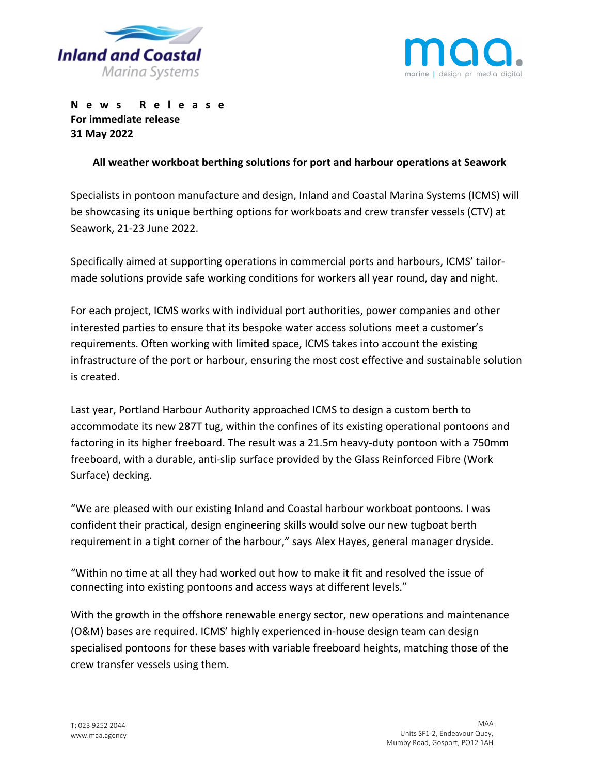



**News Release For immediate release 31 May 2022**

## **All weather workboat berthing solutions for port and harbour operations at Seawork**

Specialists in pontoon manufacture and design, Inland and Coastal Marina Systems (ICMS) will be showcasing its unique berthing options for workboats and crew transfer vessels (CTV) at Seawork, 21-23 June 2022.

Specifically aimed at supporting operations in commercial ports and harbours, ICMS' tailormade solutions provide safe working conditions for workers all year round, day and night.

For each project, ICMS works with individual port authorities, power companies and other interested parties to ensure that its bespoke water access solutions meet a customer's requirements. Often working with limited space, ICMS takes into account the existing infrastructure of the port or harbour, ensuring the most cost effective and sustainable solution is created.

Last year, Portland Harbour Authority approached ICMS to design a custom berth to accommodate its new 287T tug, within the confines of its existing operational pontoons and factoring in its higher freeboard. The result was a 21.5m heavy-duty pontoon with a 750mm freeboard, with a durable, anti-slip surface provided by the Glass Reinforced Fibre (Work Surface) decking.

"We are pleased with our existing Inland and Coastal harbour workboat pontoons. I was confident their practical, design engineering skills would solve our new tugboat berth requirement in a tight corner of the harbour," says Alex Hayes, general manager dryside.

"Within no time at all they had worked out how to make it fit and resolved the issue of connecting into existing pontoons and access ways at different levels."

With the growth in the offshore renewable energy sector, new operations and maintenance (O&M) bases are required. ICMS' highly experienced in-house design team can design specialised pontoons for these bases with variable freeboard heights, matching those of the crew transfer vessels using them.